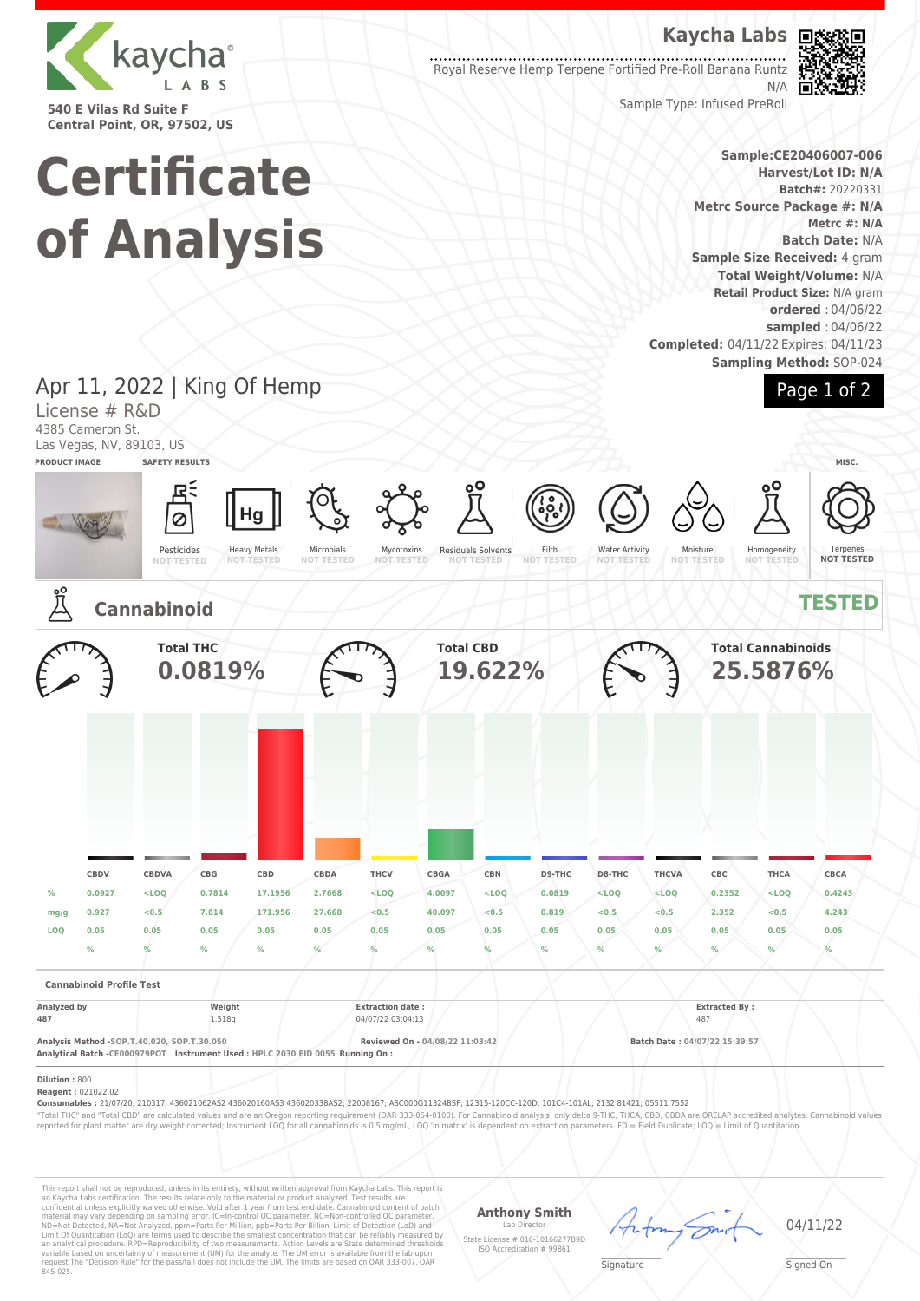

**540 E Vilas Rd Suite F Central Point, OR, 97502, US**

# **Certificate of Analysis**

**Kaycha Labs**

Royal Reserve Hemp Terpene Fortified Pre-Roll Banana Runtz N/A



Sample Type: Infused PreRoll

**Sample:CE20406007-006 Harvest/Lot ID: N/A Batch#:** 20220331 **Metrc Source Package #: N/A Metrc #: N/A Batch Date:** N/A **Sample Size Received:** 4 gram **Total Weight/Volume:** N/A **Retail Product Size:** N/A gram **ordered** : 04/06/22 **sampled** : 04/06/22 **Completed:** 04/11/22 Expires: 04/11/23 **Sampling Method:** SOP-024

### Apr 11, 2022 | King Of Hemp Page 1 of 2 License # R&D 4385 Cameron St. Las Vegas, NV, 89103, US **PRODUCT IMAGE SAFETY RESULTS MISC.** Hg Ø Heavy Metals Pesticides Microbials Residuals Solvents Filth Water Activity Mycotoxins **NOT TESTED** Moisture **NOT TESTED** Homogeneity Terpenes **NOT TESTED NOT TESTED NOT TESTED NOT TESTED NOT TESTED NOT TESTED Cannabinoid TESTED Total THC Total CBD Total Cannabinoids 0.0819% 19.622% 25.5876% CBDV CBDVA CBG CBD CBDA THCV CBGA CBN D9-THC D8-THC THCVA CBC THCA CBCA % 0.0927 <LOQ 0.7814 17.1956 2.7668 <LOQ 4.0097 <LOQ 0.0819 <LOQ <LOQ 0.2352 <LOQ 0.4243 mg/g 0.927 <0.5 7.814 171.956 27.668 <0.5 40.097 <0.5 0.819 <0.5 <0.5 2.352 <0.5 4.243 LOQ 0.05 0.05 0.05 0.05 0.05 0.05 0.05 0.05 0.05 0.05 0.05 0.05 0.05 0.05 % % % % % % % % % % % % % % Cannabinoid Profile Test Analyzed by Weight Extraction date : Extracted By : 487** 1.518g 1.518g 04/07/22 03:04:13 487 **Analysis Method -SOP.T.40.020, SOP.T.30.050 Reviewed On - 04/08/22 11:03:42 Batch Date : 04/07/22 15:39:57 Analytical Batch -CE000979POT Instrument Used : HPLC 2030 EID 0055 Running On : Dilution :** 800 **Reagent :** 021022.02 **Consumables :** 21/07/20; 210317; 436021062AS2 436020160AS3 436020338AS2; 22008167; ASC000G11324BSF; 12315-120CC-120D; 101C4-101AL; 2132 81421; 05511 7552 "Total THC" and "Total CBD" are calculated values and are an Oregon reporting requirement (OAR 333-064-0100). For Cannabinoid analysis, only delta 9-THC, THCA, CBD, CBDA are ORELAP accredited analytes. Cannabinoid values<br>r

This report shall not be reproduced, unless in its entirety, without written approval from Kaycha Labs. This report is<br>an Kaycha Labs certification. The results relate only to the material or product analyzed. Test result

**Anthony Smith**

Lab Director State License # 010-10166277B9D ISO Accreditation # 99861



04/11/22

 $\mathscr{L}\setminus\mathscr{L}$ **Signature** 

Signed On